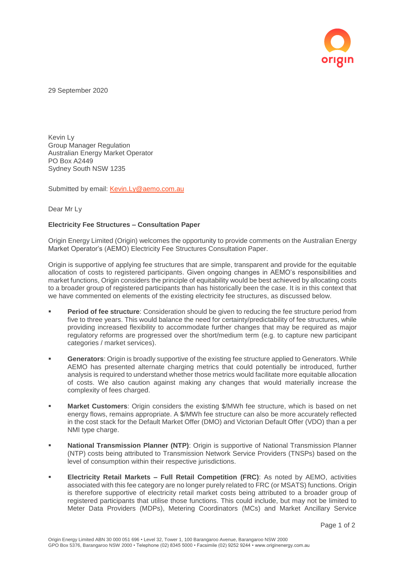

29 September 2020

Kevin Ly Group Manager Regulation Australian Energy Market Operator PO Box A2449 Sydney South NSW 1235

Submitted by email: [Kevin.Ly@aemo.com.au](mailto:Kevin.Ly@aemo.com.au)

Dear Mr Ly

## **Electricity Fee Structures – Consultation Paper**

Origin Energy Limited (Origin) welcomes the opportunity to provide comments on the Australian Energy Market Operator's (AEMO) Electricity Fee Structures Consultation Paper.

Origin is supportive of applying fee structures that are simple, transparent and provide for the equitable allocation of costs to registered participants. Given ongoing changes in AEMO's responsibilities and market functions, Origin considers the principle of equitability would be best achieved by allocating costs to a broader group of registered participants than has historically been the case. It is in this context that we have commented on elements of the existing electricity fee structures, as discussed below.

- **Period of fee structure**: Consideration should be given to reducing the fee structure period from five to three years. This would balance the need for certainty/predictability of fee structures, while providing increased flexibility to accommodate further changes that may be required as major regulatory reforms are progressed over the short/medium term (e.g. to capture new participant categories / market services).
- **EXECUTE:** Generators: Origin is broadly supportive of the existing fee structure applied to Generators. While AEMO has presented alternate charging metrics that could potentially be introduced, further analysis is required to understand whether those metrics would facilitate more equitable allocation of costs. We also caution against making any changes that would materially increase the complexity of fees charged.
- **Market Customers:** Origin considers the existing \$/MWh fee structure, which is based on net energy flows, remains appropriate. A \$/MWh fee structure can also be more accurately reflected in the cost stack for the Default Market Offer (DMO) and Victorian Default Offer (VDO) than a per NMI type charge.
- **National Transmission Planner (NTP)**: Origin is supportive of National Transmission Planner (NTP) costs being attributed to Transmission Network Service Providers (TNSPs) based on the level of consumption within their respective jurisdictions.
- **Electricity Retail Markets – Full Retail Competition (FRC)**: As noted by AEMO, activities associated with this fee category are no longer purely related to FRC (or MSATS) functions. Origin is therefore supportive of electricity retail market costs being attributed to a broader group of registered participants that utilise those functions. This could include, but may not be limited to Meter Data Providers (MDPs), Metering Coordinators (MCs) and Market Ancillary Service